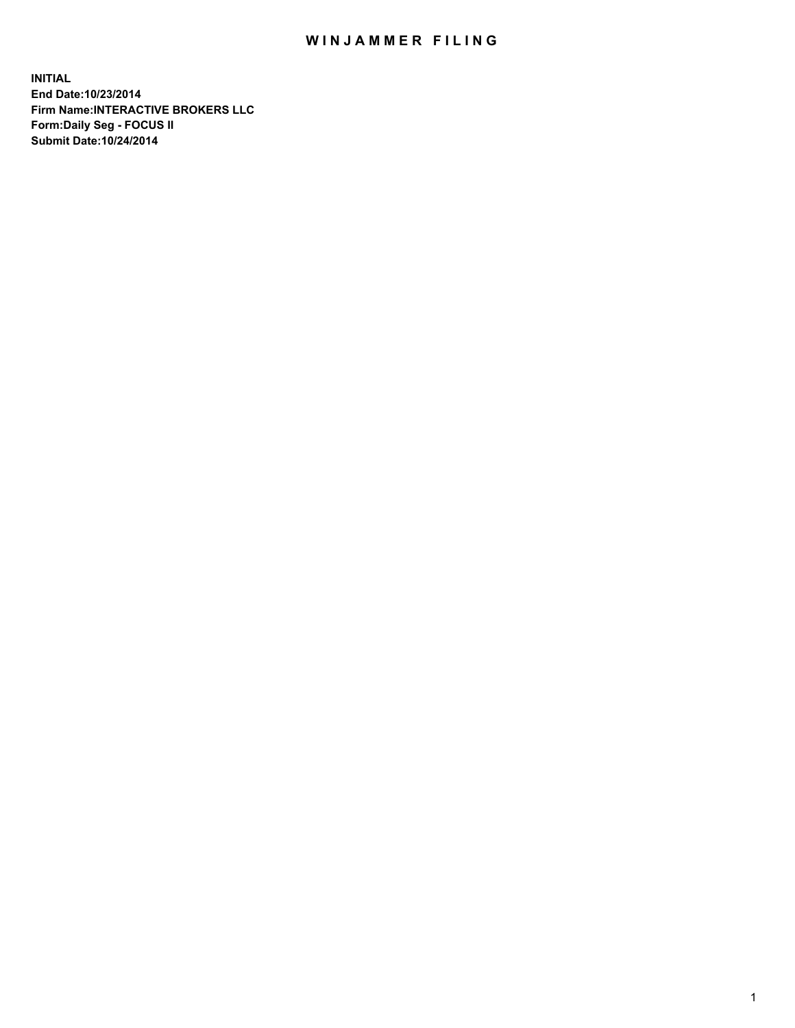## WIN JAMMER FILING

**INITIAL End Date:10/23/2014 Firm Name:INTERACTIVE BROKERS LLC Form:Daily Seg - FOCUS II Submit Date:10/24/2014**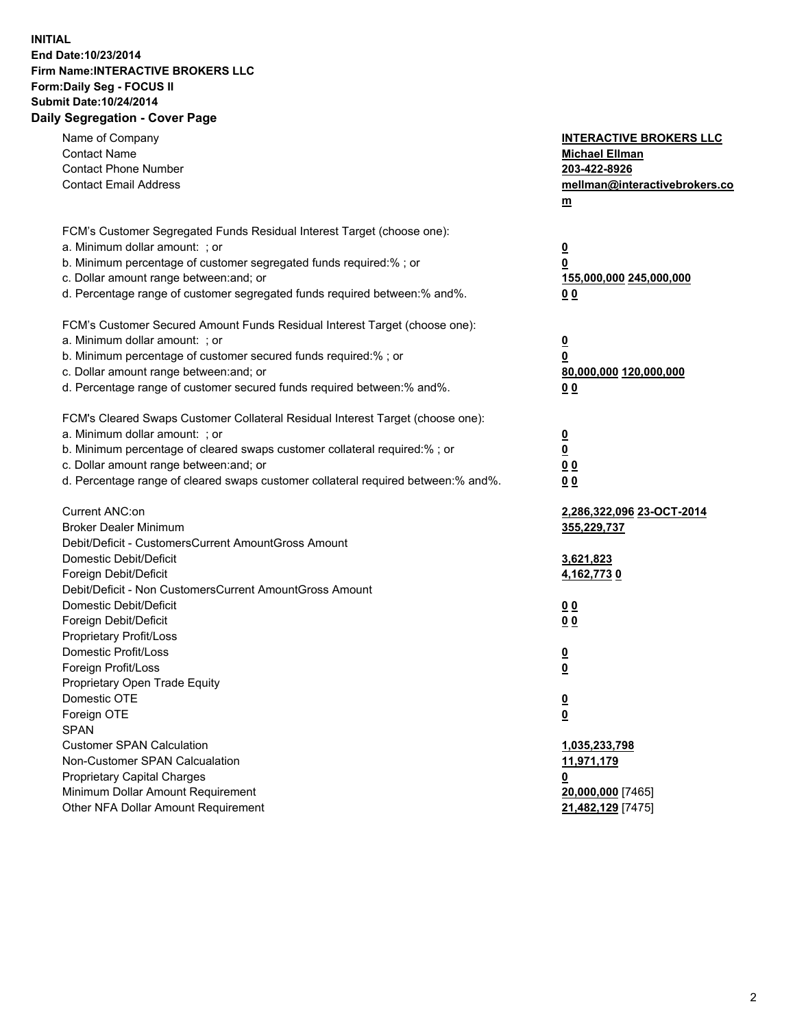## **INITIAL End Date:10/23/2014 Firm Name:INTERACTIVE BROKERS LLC Form:Daily Seg - FOCUS II Submit Date:10/24/2014 Daily Segregation - Cover Page**

| Name of Company<br><b>Contact Name</b><br><b>Contact Phone Number</b><br><b>Contact Email Address</b>    | <b>INTERACTIVE BROKERS LLC</b><br><b>Michael Ellman</b><br>203-422-8926<br>mellman@interactivebrokers.co<br>$m$ |
|----------------------------------------------------------------------------------------------------------|-----------------------------------------------------------------------------------------------------------------|
| FCM's Customer Segregated Funds Residual Interest Target (choose one):<br>a. Minimum dollar amount: ; or | $\overline{\mathbf{0}}$                                                                                         |
| b. Minimum percentage of customer segregated funds required:% ; or                                       | 0                                                                                                               |
| c. Dollar amount range between: and; or                                                                  | 155,000,000 245,000,000                                                                                         |
| d. Percentage range of customer segregated funds required between:% and%.                                | 0 <sub>0</sub>                                                                                                  |
| FCM's Customer Secured Amount Funds Residual Interest Target (choose one):                               |                                                                                                                 |
| a. Minimum dollar amount: ; or                                                                           | $\overline{\mathbf{0}}$                                                                                         |
| b. Minimum percentage of customer secured funds required:% ; or                                          | 0                                                                                                               |
| c. Dollar amount range between: and; or                                                                  | 80,000,000 120,000,000                                                                                          |
| d. Percentage range of customer secured funds required between:% and%.                                   | 0 <sub>0</sub>                                                                                                  |
| FCM's Cleared Swaps Customer Collateral Residual Interest Target (choose one):                           |                                                                                                                 |
| a. Minimum dollar amount: ; or                                                                           | $\overline{\mathbf{0}}$                                                                                         |
| b. Minimum percentage of cleared swaps customer collateral required:% ; or                               | $\overline{\mathbf{0}}$                                                                                         |
| c. Dollar amount range between: and; or                                                                  | 0 <sub>0</sub>                                                                                                  |
| d. Percentage range of cleared swaps customer collateral required between:% and%.                        | 0 <sub>0</sub>                                                                                                  |
|                                                                                                          |                                                                                                                 |
| Current ANC:on                                                                                           | 2,286,322,096 23-OCT-2014                                                                                       |
| <b>Broker Dealer Minimum</b>                                                                             | 355,229,737                                                                                                     |
| Debit/Deficit - CustomersCurrent AmountGross Amount                                                      |                                                                                                                 |
| Domestic Debit/Deficit                                                                                   | 3,621,823                                                                                                       |
| Foreign Debit/Deficit<br>Debit/Deficit - Non CustomersCurrent AmountGross Amount                         | 4,162,7730                                                                                                      |
| Domestic Debit/Deficit                                                                                   | 0 <sub>0</sub>                                                                                                  |
| Foreign Debit/Deficit                                                                                    | 0 <sub>0</sub>                                                                                                  |
| Proprietary Profit/Loss                                                                                  |                                                                                                                 |
| Domestic Profit/Loss                                                                                     | $\overline{\mathbf{0}}$                                                                                         |
| Foreign Profit/Loss                                                                                      | $\underline{\mathbf{0}}$                                                                                        |
| Proprietary Open Trade Equity                                                                            |                                                                                                                 |
| Domestic OTE                                                                                             | <u>0</u>                                                                                                        |
| Foreign OTE                                                                                              | <u>0</u>                                                                                                        |
| <b>SPAN</b>                                                                                              |                                                                                                                 |
| <b>Customer SPAN Calculation</b>                                                                         | 1,035,233,798                                                                                                   |
| Non-Customer SPAN Calcualation                                                                           | 11,971,179                                                                                                      |
| Proprietary Capital Charges                                                                              | <u>0</u>                                                                                                        |
| Minimum Dollar Amount Requirement                                                                        | 20,000,000 [7465]                                                                                               |
| Other NFA Dollar Amount Requirement                                                                      | 21,482,129 [7475]                                                                                               |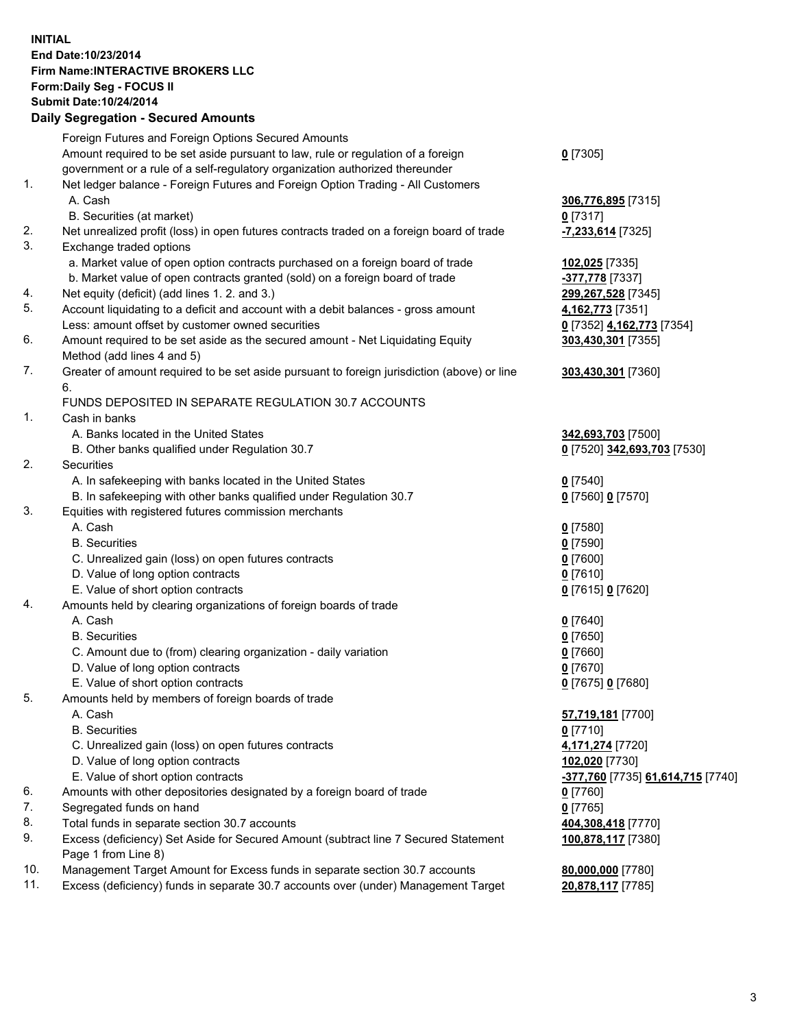## **INITIAL End Date:10/23/2014 Firm Name:INTERACTIVE BROKERS LLC Form:Daily Seg - FOCUS II Submit Date:10/24/2014 Daily Segregation - Secured Amounts**

|     | Dany Ocgregation - Oceanea Annoanta                                                         |                                   |
|-----|---------------------------------------------------------------------------------------------|-----------------------------------|
|     | Foreign Futures and Foreign Options Secured Amounts                                         |                                   |
|     | Amount required to be set aside pursuant to law, rule or regulation of a foreign            | $0$ [7305]                        |
|     | government or a rule of a self-regulatory organization authorized thereunder                |                                   |
| 1.  | Net ledger balance - Foreign Futures and Foreign Option Trading - All Customers             |                                   |
|     | A. Cash                                                                                     | 306,776,895 [7315]                |
|     | B. Securities (at market)                                                                   | $0$ [7317]                        |
| 2.  | Net unrealized profit (loss) in open futures contracts traded on a foreign board of trade   | -7,233,614 [7325]                 |
| 3.  | Exchange traded options                                                                     |                                   |
|     | a. Market value of open option contracts purchased on a foreign board of trade              | 102,025 [7335]                    |
|     | b. Market value of open contracts granted (sold) on a foreign board of trade                | -377,778 [7337]                   |
| 4.  | Net equity (deficit) (add lines 1.2. and 3.)                                                | 299,267,528 [7345]                |
| 5.  | Account liquidating to a deficit and account with a debit balances - gross amount           | 4,162,773 [7351]                  |
|     | Less: amount offset by customer owned securities                                            | 0 [7352] 4,162,773 [7354]         |
| 6.  | Amount required to be set aside as the secured amount - Net Liquidating Equity              | 303,430,301 [7355]                |
|     | Method (add lines 4 and 5)                                                                  |                                   |
| 7.  | Greater of amount required to be set aside pursuant to foreign jurisdiction (above) or line | 303,430,301 [7360]                |
|     | 6.                                                                                          |                                   |
|     | FUNDS DEPOSITED IN SEPARATE REGULATION 30.7 ACCOUNTS                                        |                                   |
| 1.  | Cash in banks                                                                               |                                   |
|     | A. Banks located in the United States                                                       | 342,693,703 [7500]                |
|     | B. Other banks qualified under Regulation 30.7                                              | 0 [7520] 342,693,703 [7530]       |
| 2.  | Securities                                                                                  |                                   |
|     | A. In safekeeping with banks located in the United States                                   | $0$ [7540]                        |
|     | B. In safekeeping with other banks qualified under Regulation 30.7                          | 0 [7560] 0 [7570]                 |
| 3.  | Equities with registered futures commission merchants                                       |                                   |
|     | A. Cash                                                                                     | $0$ [7580]                        |
|     | <b>B.</b> Securities                                                                        | $0$ [7590]                        |
|     | C. Unrealized gain (loss) on open futures contracts                                         | $0$ [7600]                        |
|     | D. Value of long option contracts                                                           | $0$ [7610]                        |
|     | E. Value of short option contracts                                                          | 0 [7615] 0 [7620]                 |
| 4.  | Amounts held by clearing organizations of foreign boards of trade                           |                                   |
|     | A. Cash                                                                                     | $0$ [7640]                        |
|     | <b>B.</b> Securities                                                                        | $0$ [7650]                        |
|     | C. Amount due to (from) clearing organization - daily variation                             | $0$ [7660]                        |
|     | D. Value of long option contracts                                                           | $0$ [7670]                        |
|     | E. Value of short option contracts                                                          | 0 [7675] 0 [7680]                 |
| 5.  | Amounts held by members of foreign boards of trade                                          |                                   |
|     | A. Cash                                                                                     | 57,719,181 [7700]                 |
|     | <b>B.</b> Securities                                                                        | $0$ [7710]                        |
|     | C. Unrealized gain (loss) on open futures contracts                                         | 4,171,274 [7720]                  |
|     | D. Value of long option contracts                                                           | 102,020 [7730]                    |
|     | E. Value of short option contracts                                                          | -377,760 [7735] 61,614,715 [7740] |
| 6.  | Amounts with other depositories designated by a foreign board of trade                      | $0$ [7760]                        |
| 7.  | Segregated funds on hand                                                                    | $0$ [7765]                        |
| 8.  | Total funds in separate section 30.7 accounts                                               | 404,308,418 [7770]                |
| 9.  | Excess (deficiency) Set Aside for Secured Amount (subtract line 7 Secured Statement         | 100,878,117 [7380]                |
|     | Page 1 from Line 8)                                                                         |                                   |
| 10. | Management Target Amount for Excess funds in separate section 30.7 accounts                 | 80,000,000 [7780]                 |
| 11. | Excess (deficiency) funds in separate 30.7 accounts over (under) Management Target          | 20,878,117 [7785]                 |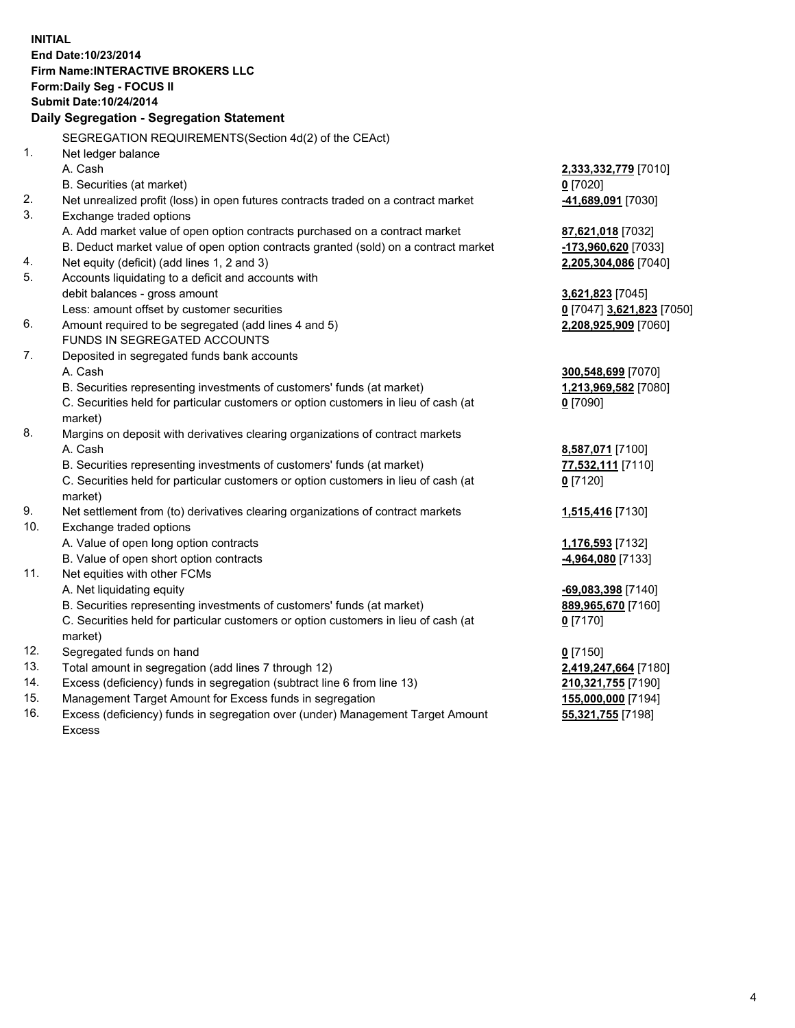**INITIAL End Date:10/23/2014 Firm Name:INTERACTIVE BROKERS LLC Form:Daily Seg - FOCUS II Submit Date:10/24/2014 Daily Segregation - Segregation Statement** SEGREGATION REQUIREMENTS(Section 4d(2) of the CEAct) 1. Net ledger balance A. Cash **2,333,332,779** [7010] B. Securities (at market) **0** [7020] 2. Net unrealized profit (loss) in open futures contracts traded on a contract market **-41,689,091** [7030] 3. Exchange traded options A. Add market value of open option contracts purchased on a contract market **87,621,018** [7032] B. Deduct market value of open option contracts granted (sold) on a contract market **-173,960,620** [7033] 4. Net equity (deficit) (add lines 1, 2 and 3) **2,205,304,086** [7040] 5. Accounts liquidating to a deficit and accounts with debit balances - gross amount **3,621,823** [7045] Less: amount offset by customer securities **0** [7047] **3,621,823** [7050] 6. Amount required to be segregated (add lines 4 and 5) **2,208,925,909** [7060] FUNDS IN SEGREGATED ACCOUNTS 7. Deposited in segregated funds bank accounts A. Cash **300,548,699** [7070] B. Securities representing investments of customers' funds (at market) **1,213,969,582** [7080] C. Securities held for particular customers or option customers in lieu of cash (at market) **0** [7090] 8. Margins on deposit with derivatives clearing organizations of contract markets A. Cash **8,587,071** [7100] B. Securities representing investments of customers' funds (at market) **77,532,111** [7110] C. Securities held for particular customers or option customers in lieu of cash (at market) **0** [7120] 9. Net settlement from (to) derivatives clearing organizations of contract markets **1,515,416** [7130] 10. Exchange traded options A. Value of open long option contracts **1,176,593** [7132] B. Value of open short option contracts **-4,964,080** [7133] 11. Net equities with other FCMs A. Net liquidating equity **-69,083,398** [7140] B. Securities representing investments of customers' funds (at market) **889,965,670** [7160] C. Securities held for particular customers or option customers in lieu of cash (at market) **0** [7170] 12. Segregated funds on hand **0** [7150] 13. Total amount in segregation (add lines 7 through 12) **2,419,247,664** [7180] 14. Excess (deficiency) funds in segregation (subtract line 6 from line 13) **210,321,755** [7190] 15. Management Target Amount for Excess funds in segregation **155,000,000** [7194]

16. Excess (deficiency) funds in segregation over (under) Management Target Amount Excess

**55,321,755** [7198]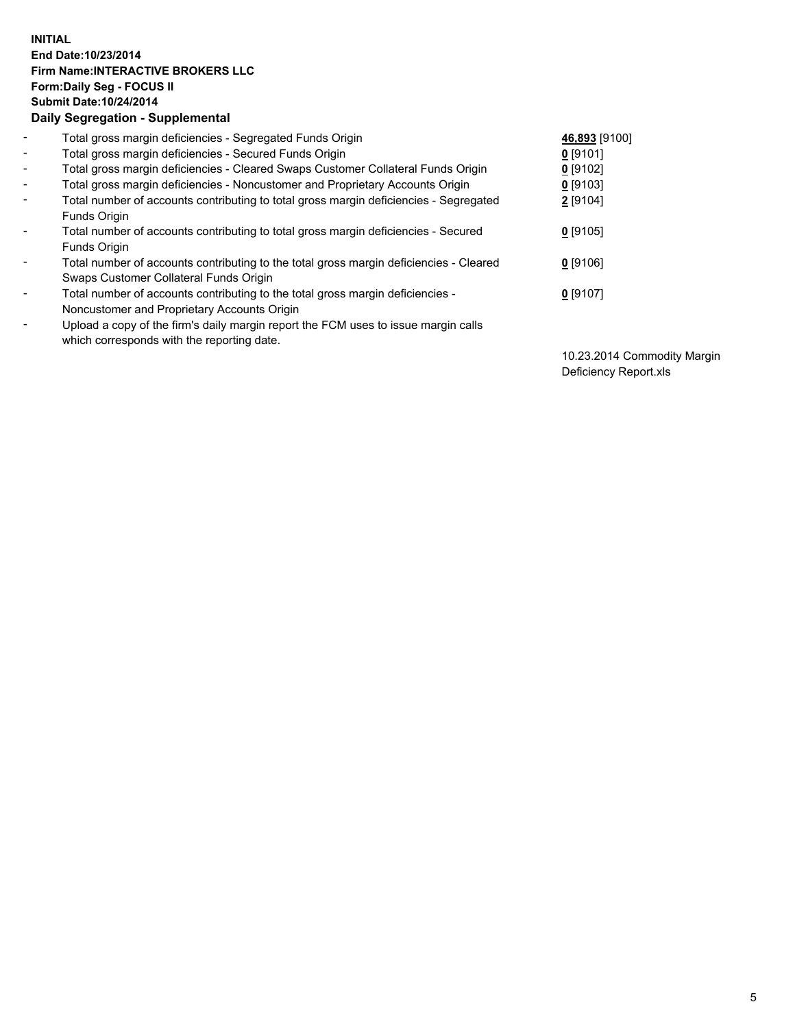## **INITIAL End Date:10/23/2014 Firm Name:INTERACTIVE BROKERS LLC Form:Daily Seg - FOCUS II Submit Date:10/24/2014 Daily Segregation - Supplemental**

| $\blacksquare$           | Total gross margin deficiencies - Segregated Funds Origin                              | 46,893 [9100] |
|--------------------------|----------------------------------------------------------------------------------------|---------------|
| $\sim$                   | Total gross margin deficiencies - Secured Funds Origin                                 | $0$ [9101]    |
| $\blacksquare$           | Total gross margin deficiencies - Cleared Swaps Customer Collateral Funds Origin       | $0$ [9102]    |
| $\blacksquare$           | Total gross margin deficiencies - Noncustomer and Proprietary Accounts Origin          | $0$ [9103]    |
| $\blacksquare$           | Total number of accounts contributing to total gross margin deficiencies - Segregated  | 2 [9104]      |
|                          | Funds Origin                                                                           |               |
| $\blacksquare$           | Total number of accounts contributing to total gross margin deficiencies - Secured     | $0$ [9105]    |
|                          | <b>Funds Origin</b>                                                                    |               |
| $\blacksquare$           | Total number of accounts contributing to the total gross margin deficiencies - Cleared | $0$ [9106]    |
|                          | Swaps Customer Collateral Funds Origin                                                 |               |
| -                        | Total number of accounts contributing to the total gross margin deficiencies -         | $0$ [9107]    |
|                          | Noncustomer and Proprietary Accounts Origin                                            |               |
| $\overline{\phantom{0}}$ | Upload a copy of the firm's daily margin report the FCM uses to issue margin calls     |               |
|                          | which corresponds with the reporting date.                                             |               |

10.23.2014 Commodity Margin Deficiency Report.xls